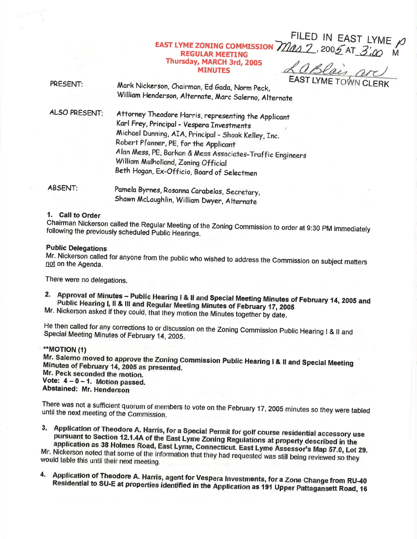### Mas 2, 2005 AT 3:00 **EAST LYME ZONING COMMISSION REGULAR MEETING** Thursday, MARCH 3rd, 2005 **MINUTES**

aBlais pr

FILED IN EAST LYME  $\rho$ 

PRESENT: Mark Nickerson, Chairman, Ed Gada, Norm Peck, William Henderson, Alternate, Marc Salerno, Alternate

**ALSO PRESENT:** 

Attorney Theodore Harris, representing the Applicant Karl Frey, Principal - Vespera Investments Michael Dunning, AIA, Principal - Shook Kelley, Inc. Robert Pfanner, PE, for the Applicant Alan Mess, PE, Barkan & Mess Associates-Traffic Engineers William Mulholland, Zoning Official Beth Hogan, Ex-Officio, Board of Selectmen

**ABSENT:** Pamela Byrnes, Rosanna Carabelas, Secretary, Shawn McLaughlin, William Dwyer, Alternate

# 1. Call to Order

Chairman Nickerson called the Regular Meeting of the Zoning Commission to order at 9:30 PM immediately following the previously scheduled Public Hearings.

# **Public Delegations**

Mr. Nickerson called for anyone from the public who wished to address the Commission on subject matters not on the Agenda.

There were no delegations.

2. Approval of Minutes - Public Hearing I & II and Special Meeting Minutes of February 14, 2005 and Public Hearing I, II & III and Regular Meeting Minutes of February 17, 2005

Mr. Nickerson asked if they could, that they motion the Minutes together by date.

He then called for any corrections to or discussion on the Zoning Commission Public Hearing I & II and Special Meeting Minutes of February 14, 2005.

# \*\*MOTION (1)

Mr. Salerno moved to approve the Zoning Commission Public Hearing I & II and Special Meeting Minutes of February 14, 2005 as presented. Mr. Peck seconded the motion. Vote:  $4 - 0 - 1$ . Motion passed. Abstained: Mr. Henderson

There was not a sufficient quorum of members to vote on the February 17, 2005 minutes so they were tabled until the next meeting of the Commission.

3. Application of Theodore A. Harris, for a Special Permit for golf course residential accessory use pursuant to Section 12.1.4A of the East Lyme Zoning Regulations at property described in the application as 38 Holmes Road, East Lyme, Connecticut. East Lyme Assessor's Map 57.0, Lot 29. Mr. Nickerson noted that some of the information that they had requested was still being reviewed so they would table this until their next meeting.

Application of Theodore A. Harris, agent for Vespera Investments, for a Zone Change from RU-40 4. Residential to SU-E at properties identified in the Application as 191 Upper Pattagansett Road, 16